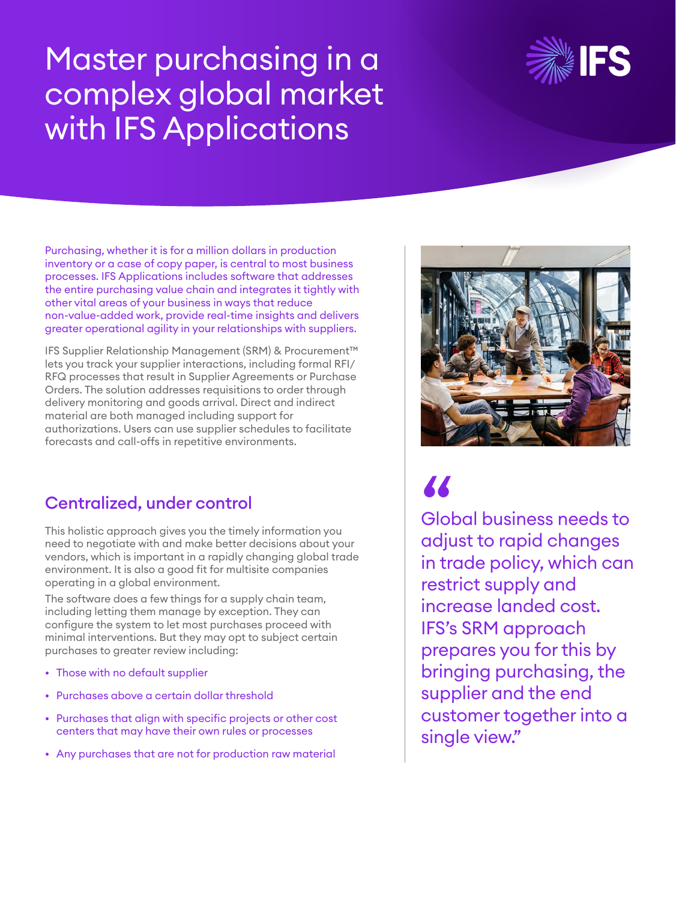# Master purchasing in a complex global market with IFS Applications



Purchasing, whether it is for a million dollars in production inventory or a case of copy paper, is central to most business processes. IFS Applications includes software that addresses the entire purchasing value chain and integrates it tightly with other vital areas of your business in ways that reduce non-value-added work, provide real-time insights and delivers greater operational agility in your relationships with suppliers.

IFS Supplier Relationship Management (SRM) & Procurement™ lets you track your supplier interactions, including formal RFI/ RFQ processes that result in Supplier Agreements or Purchase Orders. The solution addresses requisitions to order through delivery monitoring and goods arrival. Direct and indirect material are both managed including support for authorizations. Users can use supplier schedules to facilitate forecasts and call-offs in repetitive environments.

# Centralized, under control

This holistic approach gives you the timely information you need to negotiate with and make better decisions about your vendors, which is important in a rapidly changing global trade environment. It is also a good fit for multisite companies operating in a global environment.

The software does a few things for a supply chain team, including letting them manage by exception. They can configure the system to let most purchases proceed with minimal interventions. But they may opt to subject certain purchases to greater review including:

- Those with no default supplier
- Purchases above a certain dollar threshold
- Purchases that align with specific projects or other cost centers that may have their own rules or processes
- Any purchases that are not for production raw material



Global business needs to adjust to rapid changes in trade policy, which can restrict supply and increase landed cost. IFS's SRM approach prepares you for this by bringing purchasing, the supplier and the end customer together into a single view." "